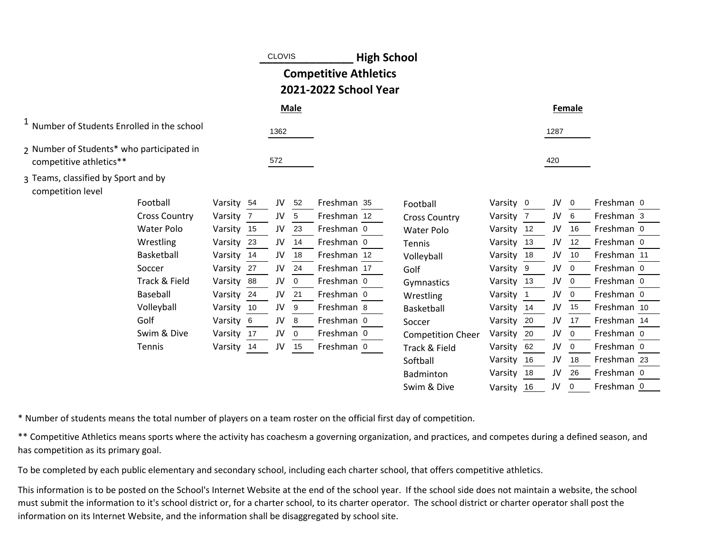|                                                                      |            |    | <b>CLOVIS</b> |             | <b>High School</b>                                    |                          |            |     |      |        |             |  |
|----------------------------------------------------------------------|------------|----|---------------|-------------|-------------------------------------------------------|--------------------------|------------|-----|------|--------|-------------|--|
|                                                                      |            |    |               |             | <b>Competitive Athletics</b><br>2021-2022 School Year |                          |            |     |      |        |             |  |
|                                                                      |            |    |               | <b>Male</b> |                                                       |                          |            |     |      | Female |             |  |
| <sup>1</sup> Number of Students Enrolled in the school               |            |    | 1362          |             |                                                       |                          |            |     | 1287 |        |             |  |
| 2 Number of Students* who participated in<br>competitive athletics** |            |    | 572           |             |                                                       |                          |            |     | 420  |        |             |  |
| 3 Teams, classified by Sport and by<br>competition level             |            |    |               |             |                                                       |                          |            |     |      |        |             |  |
| Football                                                             | Varsity 54 |    | JV            | 52          | Freshman 35                                           | Football                 | Varsity 0  |     | JV   | 0      | Freshman 0  |  |
| <b>Cross Country</b>                                                 | Varsity    | -7 | JV            | 5           | Freshman 12                                           | <b>Cross Country</b>     | Varsity    | - 7 | JV   | 6      | Freshman 3  |  |
| <b>Water Polo</b>                                                    | Varsity 15 |    | JV            | 23          | Freshman 0                                            | <b>Water Polo</b>        | Varsity 12 |     | JV   | 16     | Freshman 0  |  |
| Wrestling                                                            | Varsity    | 23 | JV            | 14          | Freshman 0                                            | Tennis                   | Varsity    | 13  | JV   | 12     | Freshman 0  |  |
| Basketball                                                           | Varsity    | 14 | JV            | 18          | Freshman 12                                           | Volleyball               | Varsity    | 18  | JV   | 10     | Freshman 11 |  |
| Soccer                                                               | Varsity    | 27 | JV            | 24          | Freshman 17                                           | Golf                     | Varsity 9  |     | JV   | 0      | Freshman 0  |  |
| Track & Field                                                        | Varsity    | 88 | JV            | 0           | Freshman 0                                            | Gymnastics               | Varsity    | 13  | JV   | 0      | Freshman 0  |  |
| <b>Baseball</b>                                                      | Varsity    | 24 | JV            | 21          | Freshman 0                                            | Wrestling                | Varsity 1  |     | JV   | 0      | Freshman 0  |  |
| Volleyball                                                           | Varsity 10 |    | JV            | 9           | Freshman 8                                            | Basketball               | Varsity 14 |     | JV   | 15     | Freshman 10 |  |
| Golf                                                                 | Varsity    | -6 | JV            | 8           | Freshman 0                                            | Soccer                   | Varsity    | 20  | JV   | 17     | Freshman 14 |  |
| Swim & Dive                                                          | Varsity 17 |    | JV            | 0           | Freshman 0                                            | <b>Competition Cheer</b> | Varsity    | 20  | JV   | 0      | Freshman 0  |  |
| Tennis                                                               | Varsity 14 |    | JV            | 15          | Freshman 0                                            | Track & Field            | Varsity    | 62  | JV   | 0      | Freshman 0  |  |
|                                                                      |            |    |               |             |                                                       | Softball                 | Varsity    | 16  | JV   | 18     | Freshman 23 |  |
|                                                                      |            |    |               |             |                                                       | Badminton                | Varsity    | 18  | JV   | 26     | Freshman 0  |  |
|                                                                      |            |    |               |             |                                                       | Swim & Dive              | Varsity    | 16  | JV   | 0      | Freshman 0  |  |

\* Number of students means the total number of players on a team roster on the official first day of competition.

\*\* Competitive Athletics means sports where the activity has coachesm a governing organization, and practices, and competes during a defined season, and has competition as its primary goal.

To be completed by each public elementary and secondary school, including each charter school, that offers competitive athletics.

This information is to be posted on the School's Internet Website at the end of the school year. If the school side does not maintain a website, the school must submit the information to it's school district or, for a charter school, to its charter operator. The school district or charter operator shall post the information on its Internet Website, and the information shall be disaggregated by school site.